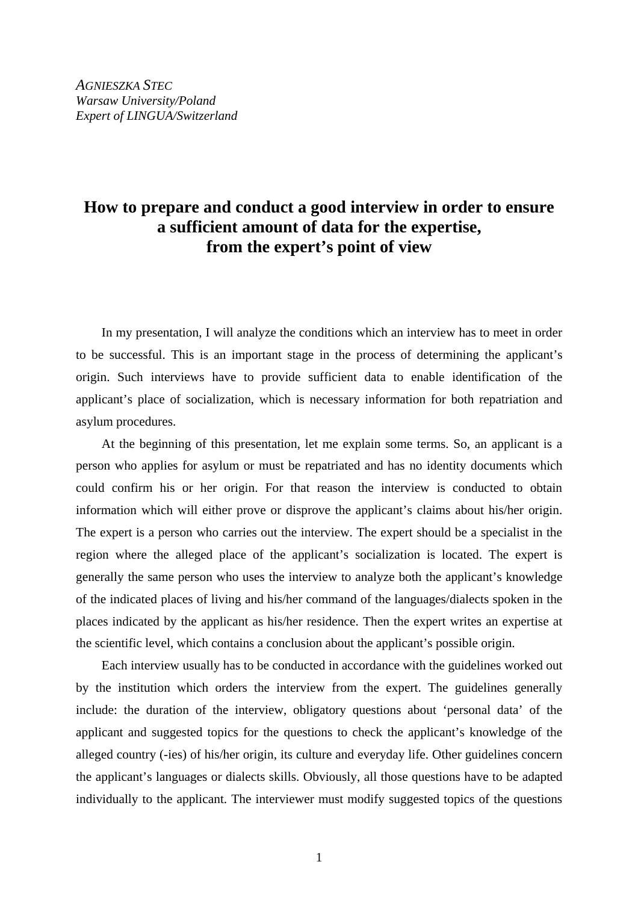## **How to prepare and conduct a good interview in order to ensure a sufficient amount of data for the expertise, from the expert's point of view**

In my presentation, I will analyze the conditions which an interview has to meet in order to be successful. This is an important stage in the process of determining the applicant's origin. Such interviews have to provide sufficient data to enable identification of the applicant's place of socialization, which is necessary information for both repatriation and asylum procedures.

At the beginning of this presentation, let me explain some terms. So, an applicant is a person who applies for asylum or must be repatriated and has no identity documents which could confirm his or her origin. For that reason the interview is conducted to obtain information which will either prove or disprove the applicant's claims about his/her origin. The expert is a person who carries out the interview. The expert should be a specialist in the region where the alleged place of the applicant's socialization is located. The expert is generally the same person who uses the interview to analyze both the applicant's knowledge of the indicated places of living and his/her command of the languages/dialects spoken in the places indicated by the applicant as his/her residence. Then the expert writes an expertise at the scientific level, which contains a conclusion about the applicant's possible origin.

Each interview usually has to be conducted in accordance with the guidelines worked out by the institution which orders the interview from the expert. The guidelines generally include: the duration of the interview, obligatory questions about 'personal data' of the applicant and suggested topics for the questions to check the applicant's knowledge of the alleged country (-ies) of his/her origin, its culture and everyday life. Other guidelines concern the applicant's languages or dialects skills. Obviously, all those questions have to be adapted individually to the applicant. The interviewer must modify suggested topics of the questions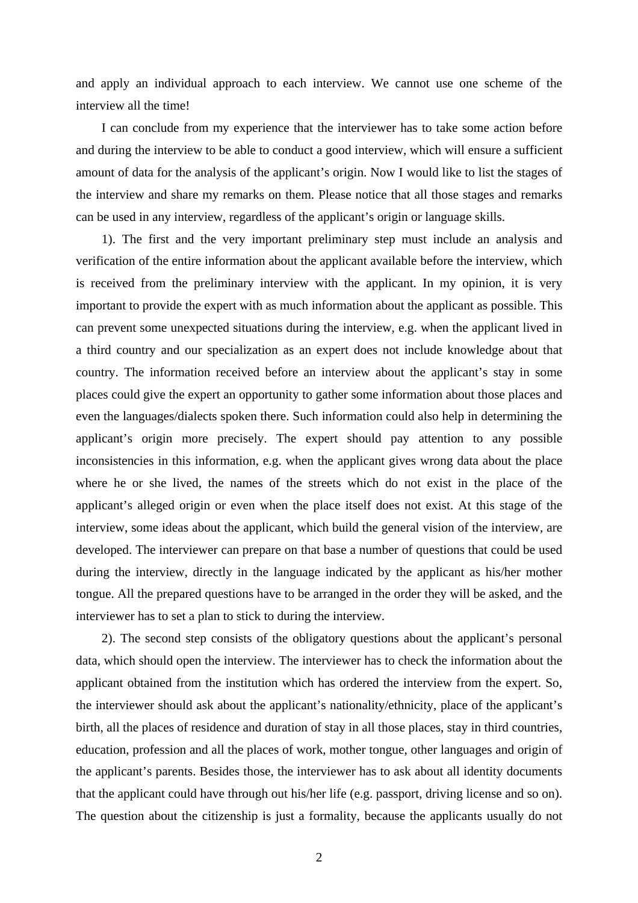and apply an individual approach to each interview. We cannot use one scheme of the interview all the time!

I can conclude from my experience that the interviewer has to take some action before and during the interview to be able to conduct a good interview, which will ensure a sufficient amount of data for the analysis of the applicant's origin. Now I would like to list the stages of the interview and share my remarks on them. Please notice that all those stages and remarks can be used in any interview, regardless of the applicant's origin or language skills.

1). The first and the very important preliminary step must include an analysis and verification of the entire information about the applicant available before the interview, which is received from the preliminary interview with the applicant. In my opinion, it is very important to provide the expert with as much information about the applicant as possible. This can prevent some unexpected situations during the interview, e.g. when the applicant lived in a third country and our specialization as an expert does not include knowledge about that country. The information received before an interview about the applicant's stay in some places could give the expert an opportunity to gather some information about those places and even the languages/dialects spoken there. Such information could also help in determining the applicant's origin more precisely. The expert should pay attention to any possible inconsistencies in this information, e.g. when the applicant gives wrong data about the place where he or she lived, the names of the streets which do not exist in the place of the applicant's alleged origin or even when the place itself does not exist. At this stage of the interview, some ideas about the applicant, which build the general vision of the interview, are developed. The interviewer can prepare on that base a number of questions that could be used during the interview, directly in the language indicated by the applicant as his/her mother tongue. All the prepared questions have to be arranged in the order they will be asked, and the interviewer has to set a plan to stick to during the interview.

2). The second step consists of the obligatory questions about the applicant's personal data, which should open the interview. The interviewer has to check the information about the applicant obtained from the institution which has ordered the interview from the expert. So, the interviewer should ask about the applicant's nationality/ethnicity, place of the applicant's birth, all the places of residence and duration of stay in all those places, stay in third countries, education, profession and all the places of work, mother tongue, other languages and origin of the applicant's parents. Besides those, the interviewer has to ask about all identity documents that the applicant could have through out his/her life (e.g. passport, driving license and so on). The question about the citizenship is just a formality, because the applicants usually do not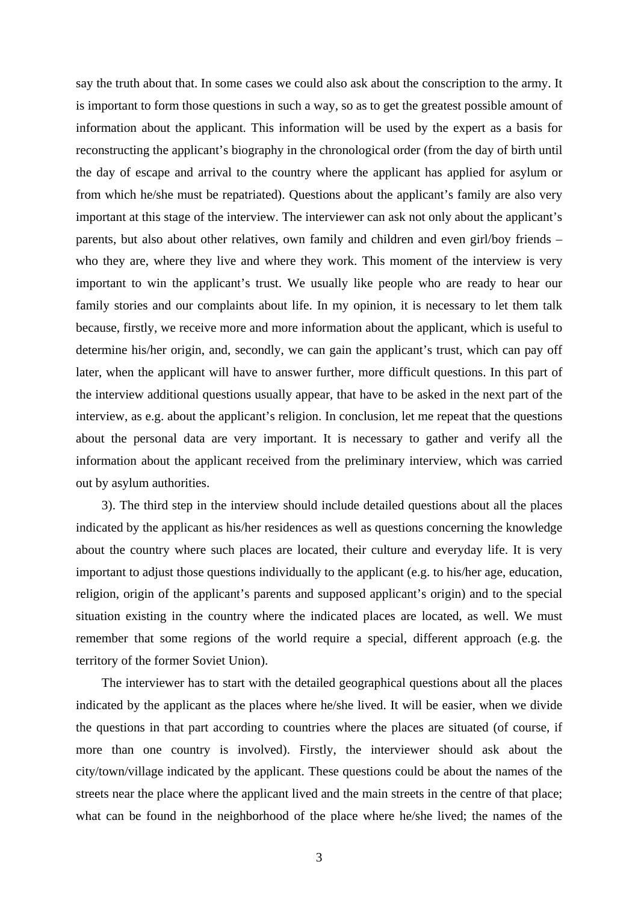say the truth about that. In some cases we could also ask about the conscription to the army. It is important to form those questions in such a way, so as to get the greatest possible amount of information about the applicant. This information will be used by the expert as a basis for reconstructing the applicant's biography in the chronological order (from the day of birth until the day of escape and arrival to the country where the applicant has applied for asylum or from which he/she must be repatriated). Questions about the applicant's family are also very important at this stage of the interview. The interviewer can ask not only about the applicant's parents, but also about other relatives, own family and children and even girl/boy friends – who they are, where they live and where they work. This moment of the interview is very important to win the applicant's trust. We usually like people who are ready to hear our family stories and our complaints about life. In my opinion, it is necessary to let them talk because, firstly, we receive more and more information about the applicant, which is useful to determine his/her origin, and, secondly, we can gain the applicant's trust, which can pay off later, when the applicant will have to answer further, more difficult questions. In this part of the interview additional questions usually appear, that have to be asked in the next part of the interview, as e.g. about the applicant's religion. In conclusion, let me repeat that the questions about the personal data are very important. It is necessary to gather and verify all the information about the applicant received from the preliminary interview, which was carried out by asylum authorities.

3). The third step in the interview should include detailed questions about all the places indicated by the applicant as his/her residences as well as questions concerning the knowledge about the country where such places are located, their culture and everyday life. It is very important to adjust those questions individually to the applicant (e.g. to his/her age, education, religion, origin of the applicant's parents and supposed applicant's origin) and to the special situation existing in the country where the indicated places are located, as well. We must remember that some regions of the world require a special, different approach (e.g. the territory of the former Soviet Union).

The interviewer has to start with the detailed geographical questions about all the places indicated by the applicant as the places where he/she lived. It will be easier, when we divide the questions in that part according to countries where the places are situated (of course, if more than one country is involved). Firstly, the interviewer should ask about the city/town/village indicated by the applicant. These questions could be about the names of the streets near the place where the applicant lived and the main streets in the centre of that place; what can be found in the neighborhood of the place where he/she lived; the names of the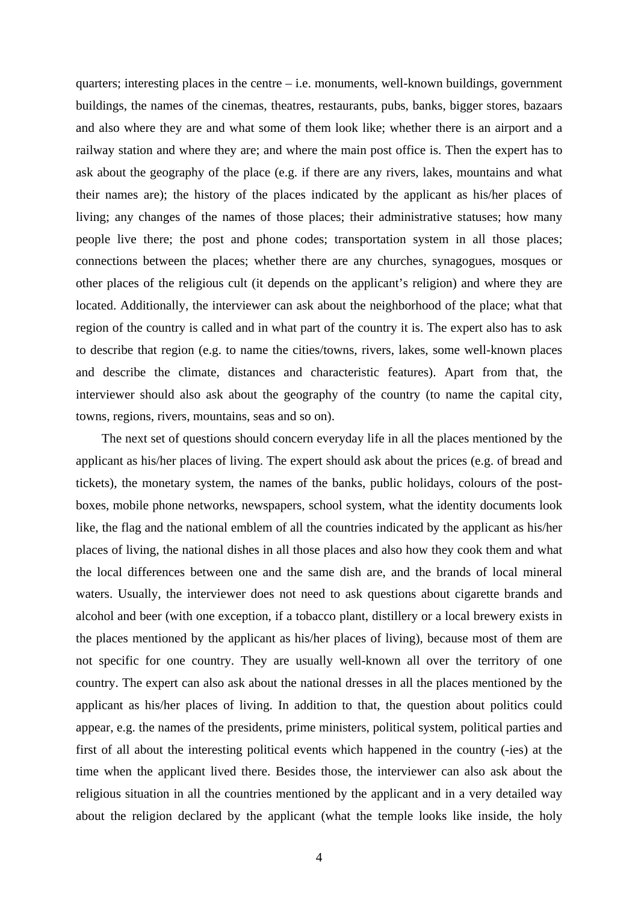quarters; interesting places in the centre – i.e. monuments, well-known buildings, government buildings, the names of the cinemas, theatres, restaurants, pubs, banks, bigger stores, bazaars and also where they are and what some of them look like; whether there is an airport and a railway station and where they are; and where the main post office is. Then the expert has to ask about the geography of the place (e.g. if there are any rivers, lakes, mountains and what their names are); the history of the places indicated by the applicant as his/her places of living; any changes of the names of those places; their administrative statuses; how many people live there; the post and phone codes; transportation system in all those places; connections between the places; whether there are any churches, synagogues, mosques or other places of the religious cult (it depends on the applicant's religion) and where they are located. Additionally, the interviewer can ask about the neighborhood of the place; what that region of the country is called and in what part of the country it is. The expert also has to ask to describe that region (e.g. to name the cities/towns, rivers, lakes, some well-known places and describe the climate, distances and characteristic features). Apart from that, the interviewer should also ask about the geography of the country (to name the capital city, towns, regions, rivers, mountains, seas and so on).

The next set of questions should concern everyday life in all the places mentioned by the applicant as his/her places of living. The expert should ask about the prices (e.g. of bread and tickets), the monetary system, the names of the banks, public holidays, colours of the postboxes, mobile phone networks, newspapers, school system, what the identity documents look like, the flag and the national emblem of all the countries indicated by the applicant as his/her places of living, the national dishes in all those places and also how they cook them and what the local differences between one and the same dish are, and the brands of local mineral waters. Usually, the interviewer does not need to ask questions about cigarette brands and alcohol and beer (with one exception, if a tobacco plant, distillery or a local brewery exists in the places mentioned by the applicant as his/her places of living), because most of them are not specific for one country. They are usually well-known all over the territory of one country. The expert can also ask about the national dresses in all the places mentioned by the applicant as his/her places of living. In addition to that, the question about politics could appear, e.g. the names of the presidents, prime ministers, political system, political parties and first of all about the interesting political events which happened in the country (-ies) at the time when the applicant lived there. Besides those, the interviewer can also ask about the religious situation in all the countries mentioned by the applicant and in a very detailed way about the religion declared by the applicant (what the temple looks like inside, the holy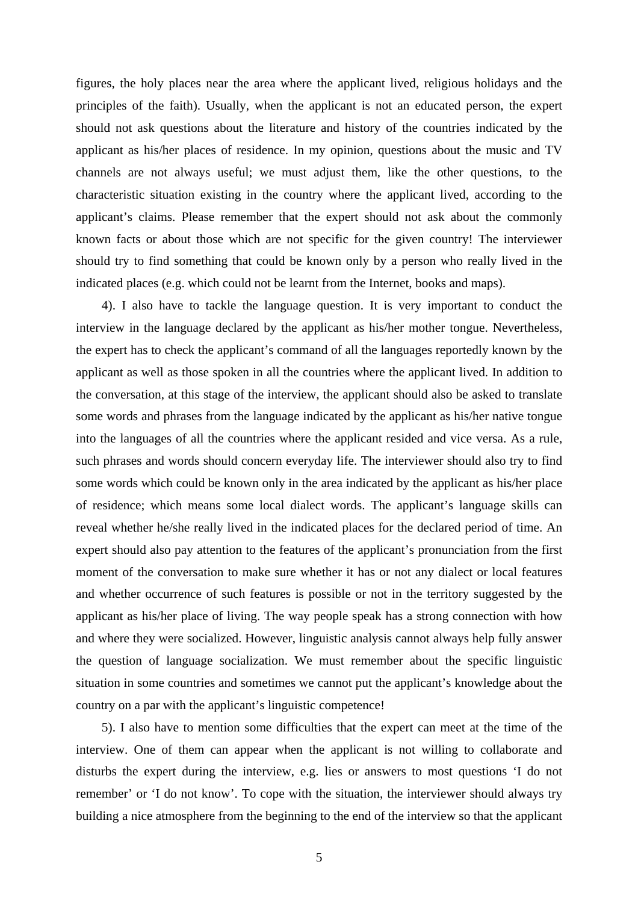figures, the holy places near the area where the applicant lived, religious holidays and the principles of the faith). Usually, when the applicant is not an educated person, the expert should not ask questions about the literature and history of the countries indicated by the applicant as his/her places of residence. In my opinion, questions about the music and TV channels are not always useful; we must adjust them, like the other questions, to the characteristic situation existing in the country where the applicant lived, according to the applicant's claims. Please remember that the expert should not ask about the commonly known facts or about those which are not specific for the given country! The interviewer should try to find something that could be known only by a person who really lived in the indicated places (e.g. which could not be learnt from the Internet, books and maps).

4). I also have to tackle the language question. It is very important to conduct the interview in the language declared by the applicant as his/her mother tongue. Nevertheless, the expert has to check the applicant's command of all the languages reportedly known by the applicant as well as those spoken in all the countries where the applicant lived. In addition to the conversation, at this stage of the interview, the applicant should also be asked to translate some words and phrases from the language indicated by the applicant as his/her native tongue into the languages of all the countries where the applicant resided and vice versa. As a rule, such phrases and words should concern everyday life. The interviewer should also try to find some words which could be known only in the area indicated by the applicant as his/her place of residence; which means some local dialect words. The applicant's language skills can reveal whether he/she really lived in the indicated places for the declared period of time. An expert should also pay attention to the features of the applicant's pronunciation from the first moment of the conversation to make sure whether it has or not any dialect or local features and whether occurrence of such features is possible or not in the territory suggested by the applicant as his/her place of living. The way people speak has a strong connection with how and where they were socialized. However, linguistic analysis cannot always help fully answer the question of language socialization. We must remember about the specific linguistic situation in some countries and sometimes we cannot put the applicant's knowledge about the country on a par with the applicant's linguistic competence!

5). I also have to mention some difficulties that the expert can meet at the time of the interview. One of them can appear when the applicant is not willing to collaborate and disturbs the expert during the interview, e.g. lies or answers to most questions 'I do not remember' or 'I do not know'. To cope with the situation, the interviewer should always try building a nice atmosphere from the beginning to the end of the interview so that the applicant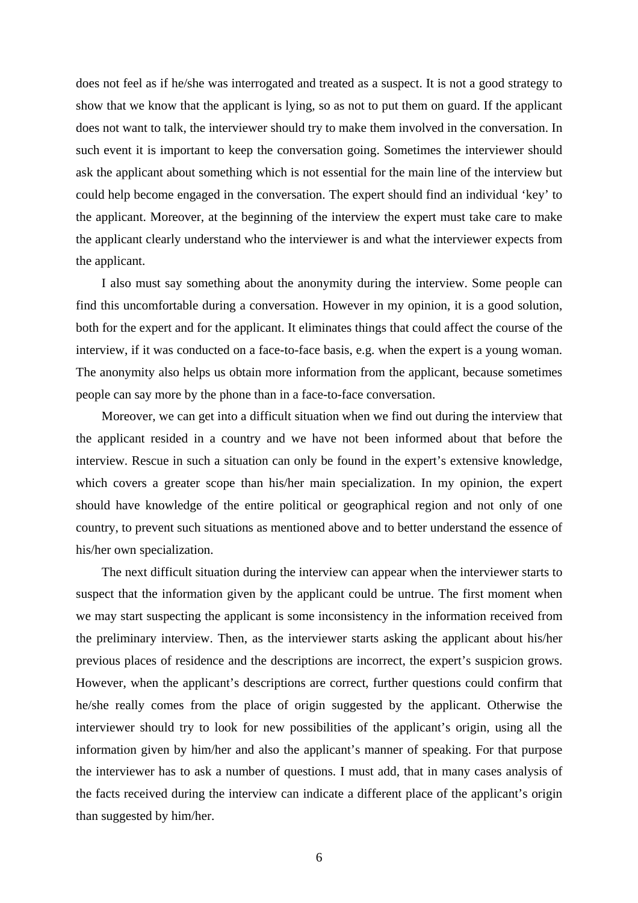does not feel as if he/she was interrogated and treated as a suspect. It is not a good strategy to show that we know that the applicant is lying, so as not to put them on guard. If the applicant does not want to talk, the interviewer should try to make them involved in the conversation. In such event it is important to keep the conversation going. Sometimes the interviewer should ask the applicant about something which is not essential for the main line of the interview but could help become engaged in the conversation. The expert should find an individual 'key' to the applicant. Moreover, at the beginning of the interview the expert must take care to make the applicant clearly understand who the interviewer is and what the interviewer expects from the applicant.

I also must say something about the anonymity during the interview. Some people can find this uncomfortable during a conversation. However in my opinion, it is a good solution, both for the expert and for the applicant. It eliminates things that could affect the course of the interview, if it was conducted on a face-to-face basis, e.g. when the expert is a young woman. The anonymity also helps us obtain more information from the applicant, because sometimes people can say more by the phone than in a face-to-face conversation.

Moreover, we can get into a difficult situation when we find out during the interview that the applicant resided in a country and we have not been informed about that before the interview. Rescue in such a situation can only be found in the expert's extensive knowledge, which covers a greater scope than his/her main specialization. In my opinion, the expert should have knowledge of the entire political or geographical region and not only of one country, to prevent such situations as mentioned above and to better understand the essence of his/her own specialization.

The next difficult situation during the interview can appear when the interviewer starts to suspect that the information given by the applicant could be untrue. The first moment when we may start suspecting the applicant is some inconsistency in the information received from the preliminary interview. Then, as the interviewer starts asking the applicant about his/her previous places of residence and the descriptions are incorrect, the expert's suspicion grows. However, when the applicant's descriptions are correct, further questions could confirm that he/she really comes from the place of origin suggested by the applicant. Otherwise the interviewer should try to look for new possibilities of the applicant's origin, using all the information given by him/her and also the applicant's manner of speaking. For that purpose the interviewer has to ask a number of questions. I must add, that in many cases analysis of the facts received during the interview can indicate a different place of the applicant's origin than suggested by him/her.